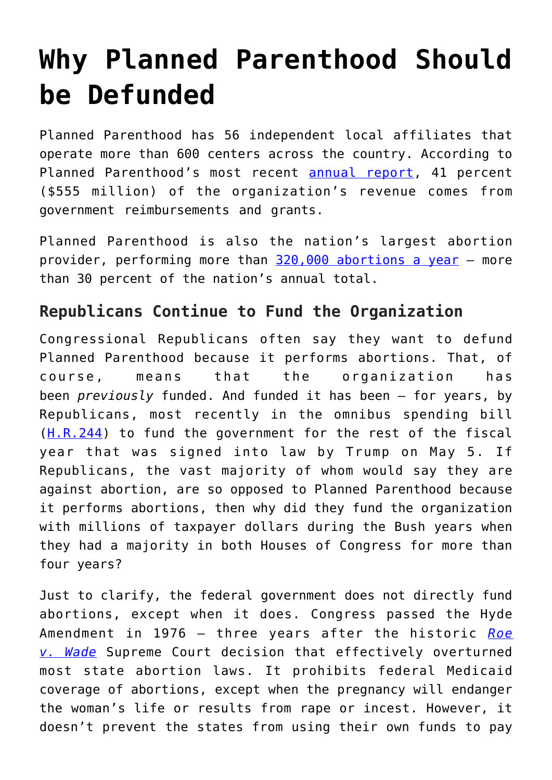## **[Why Planned Parenthood Should](https://intellectualtakeout.org/2017/08/why-planned-parenthood-should-be-defunded/) [be Defunded](https://intellectualtakeout.org/2017/08/why-planned-parenthood-should-be-defunded/)**

Planned Parenthood has 56 independent local affiliates that operate more than 600 centers across the country. According to Planned Parenthood's most recent [annual report,](https://www.plannedparenthood.org/uploads/filer_public/18/40/1840b04b-55d3-4c00-959d-11817023ffc8/20170526_annualreport_p02_singles.pdf) 41 percent (\$555 million) of the organization's revenue comes from government reimbursements and grants.

Planned Parenthood is also the nation's largest abortion provider, performing more than [320,000 abortions a year](http://dailysignal.com/2016/09/14/the-numbers-that-show-planned-parenthood-about-abortion-not-womens-health/) — more than 30 percent of the nation's annual total.

## **Republicans Continue to Fund the Organization**

Congressional Republicans often say they want to defund Planned Parenthood because it performs abortions. That, of course, means that the organization has been *previously* funded. And funded it has been — for years, by Republicans, most recently in the omnibus spending bill ([H.R.244\)](https://www.congress.gov/bill/115th-congress/house-bill/244) to fund the government for the rest of the fiscal year that was signed into law by Trump on May 5. If Republicans, the vast majority of whom would say they are against abortion, are so opposed to Planned Parenthood because it performs abortions, then why did they fund the organization with millions of taxpayer dollars during the Bush years when they had a majority in both Houses of Congress for more than four years?

Just to clarify, the federal government does not directly fund abortions, except when it does. Congress passed the Hyde Amendment in 1976 — three years after the historic *[Roe](https://www.oyez.org/cases/1971/70-18) [v. Wade](https://www.oyez.org/cases/1971/70-18)* Supreme Court decision that effectively overturned most state abortion laws. It prohibits federal Medicaid coverage of abortions, except when the pregnancy will endanger the woman's life or results from rape or incest. However, it doesn't prevent the states from using their own funds to pay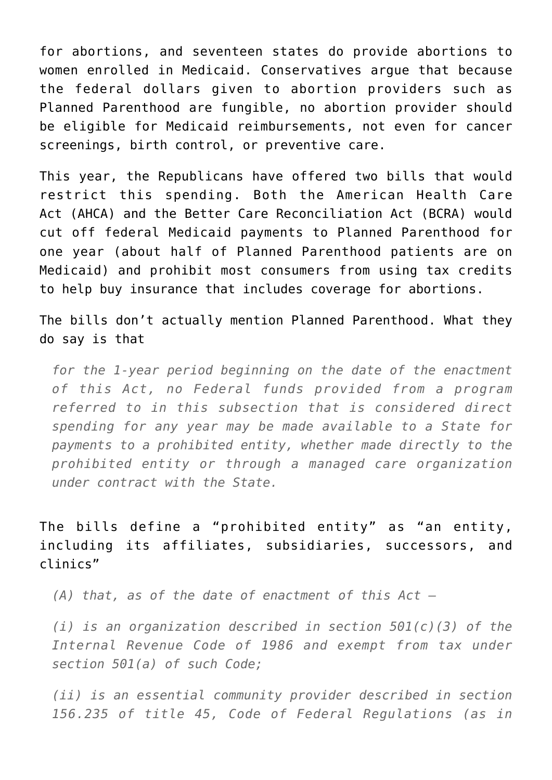for abortions, and seventeen states do provide abortions to women enrolled in Medicaid. Conservatives argue that because the federal dollars given to abortion providers such as Planned Parenthood are fungible, no abortion provider should be eligible for Medicaid reimbursements, not even for cancer screenings, birth control, or preventive care.

This year, the Republicans have offered two bills that would restrict this spending. Both the American Health Care Act (AHCA) and the Better Care Reconciliation Act (BCRA) would cut off federal Medicaid payments to Planned Parenthood for one year (about half of Planned Parenthood patients are on Medicaid) and prohibit most consumers from using tax credits to help buy insurance that includes coverage for abortions.

The bills don't actually mention Planned Parenthood. What they do say is that

*for the 1-year period beginning on the date of the enactment of this Act, no Federal funds provided from a program referred to in this subsection that is considered direct spending for any year may be made available to a State for payments to a prohibited entity, whether made directly to the prohibited entity or through a managed care organization under contract with the State.*

The bills define a "prohibited entity" as "an entity, including its affiliates, subsidiaries, successors, and clinics"

*(A) that, as of the date of enactment of this Act —*

*(i) is an organization described in section 501(c)(3) of the Internal Revenue Code of 1986 and exempt from tax under section 501(a) of such Code;*

*(ii) is an essential community provider described in section 156.235 of title 45, Code of Federal Regulations (as in*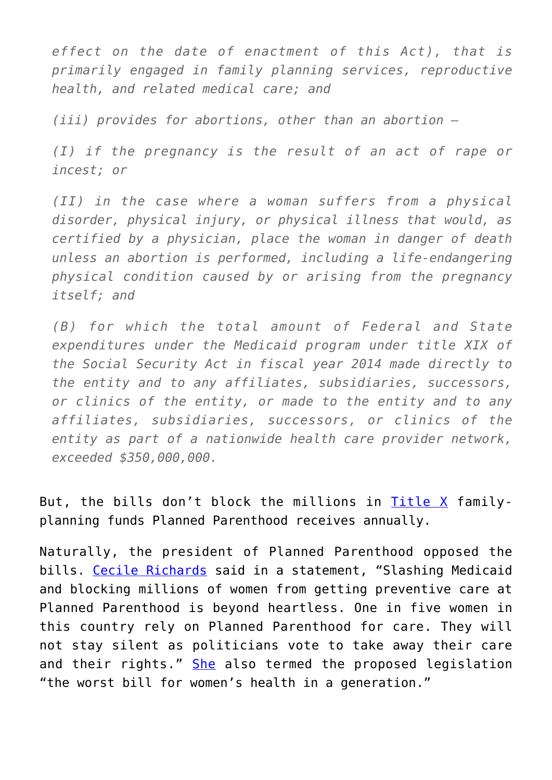*effect on the date of enactment of this Act), that is primarily engaged in family planning services, reproductive health, and related medical care; and*

*(iii) provides for abortions, other than an abortion —*

*(I) if the pregnancy is the result of an act of rape or incest; or*

*(II) in the case where a woman suffers from a physical disorder, physical injury, or physical illness that would, as certified by a physician, place the woman in danger of death unless an abortion is performed, including a life-endangering physical condition caused by or arising from the pregnancy itself; and*

*(B) for which the total amount of Federal and State expenditures under the Medicaid program under title XIX of the Social Security Act in fiscal year 2014 made directly to the entity and to any affiliates, subsidiaries, successors, or clinics of the entity, or made to the entity and to any affiliates, subsidiaries, successors, or clinics of the entity as part of a nationwide health care provider network, exceeded \$350,000,000.*

But, the bills don't block the millions in [Title X](https://www.hhs.gov/opa/title-x-family-planning/index.html) familyplanning funds Planned Parenthood receives annually.

Naturally, the president of Planned Parenthood opposed the bills. [Cecile Richards](http://thehill.com/policy/healthcare/338960-senate-gop-bill-defunds-planned-parenthood-for-one-year) said in a statement, "Slashing Medicaid and blocking millions of women from getting preventive care at Planned Parenthood is beyond heartless. One in five women in this country rely on Planned Parenthood for care. They will not stay silent as politicians vote to take away their care and their rights." [She](http://www.msnbc.com/morning-joe/watch/if-bill-passes-what-happens-to-planned-parenthood-977911875718) also termed the proposed legislation "the worst bill for women's health in a generation."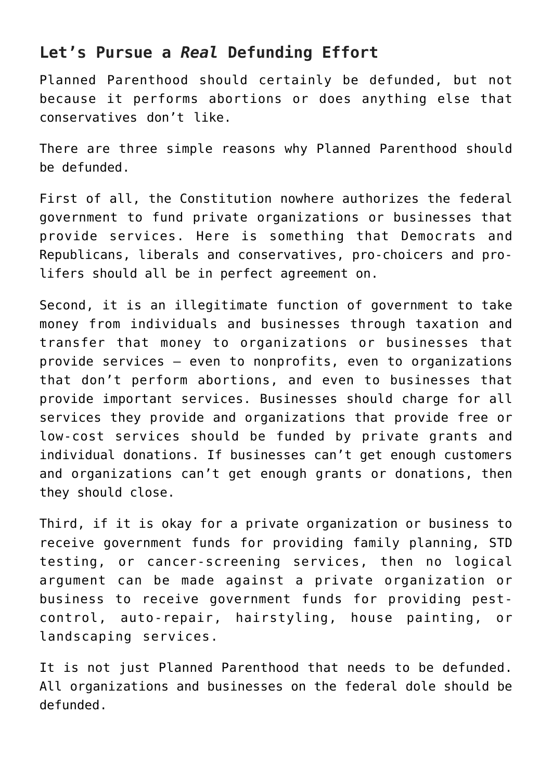## **Let's Pursue a** *Real* **Defunding Effort**

Planned Parenthood should certainly be defunded, but not because it performs abortions or does anything else that conservatives don't like.

There are three simple reasons why Planned Parenthood should be defunded.

First of all, the Constitution nowhere authorizes the federal government to fund private organizations or businesses that provide services. Here is something that Democrats and Republicans, liberals and conservatives, pro-choicers and prolifers should all be in perfect agreement on.

Second, it is an illegitimate function of government to take money from individuals and businesses through taxation and transfer that money to organizations or businesses that provide services — even to nonprofits, even to organizations that don't perform abortions, and even to businesses that provide important services. Businesses should charge for all services they provide and organizations that provide free or low-cost services should be funded by private grants and individual donations. If businesses can't get enough customers and organizations can't get enough grants or donations, then they should close.

Third, if it is okay for a private organization or business to receive government funds for providing family planning, STD testing, or cancer-screening services, then no logical argument can be made against a private organization or business to receive government funds for providing pestcontrol, auto-repair, hairstyling, house painting, or landscaping services.

It is not just Planned Parenthood that needs to be defunded. All organizations and businesses on the federal dole should be defunded.